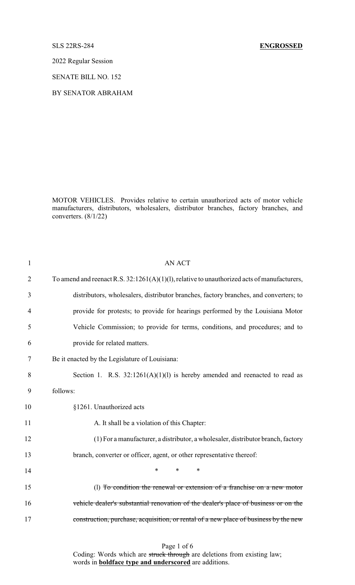### SLS 22RS-284 **ENGROSSED**

2022 Regular Session

SENATE BILL NO. 152

BY SENATOR ABRAHAM

MOTOR VEHICLES. Provides relative to certain unauthorized acts of motor vehicle manufacturers, distributors, wholesalers, distributor branches, factory branches, and converters. (8/1/22)

| $\mathbf{1}$   | <b>AN ACT</b>                                                                                  |
|----------------|------------------------------------------------------------------------------------------------|
| $\overline{2}$ | To amend and reenact R.S. $32:1261(A)(1)(1)$ , relative to unauthorized acts of manufacturers, |
| 3              | distributors, wholesalers, distributor branches, factory branches, and converters; to          |
| 4              | provide for protests; to provide for hearings performed by the Louisiana Motor                 |
| 5              | Vehicle Commission; to provide for terms, conditions, and procedures; and to                   |
| 6              | provide for related matters.                                                                   |
| 7              | Be it enacted by the Legislature of Louisiana:                                                 |
| 8              | Section 1. R.S. $32:1261(A)(1)(1)$ is hereby amended and reenacted to read as                  |
| 9              | follows:                                                                                       |
| 10             | §1261. Unauthorized acts                                                                       |
| 11             | A. It shall be a violation of this Chapter:                                                    |
| 12             | (1) For a manufacturer, a distributor, a wholesaler, distributor branch, factory               |
| 13             | branch, converter or officer, agent, or other representative thereof:                          |
| 14             | $\ast$<br>*<br>$\ast$                                                                          |
| 15             | (l) To condition the renewal or extension of a franchise on a new motor                        |
| 16             | vehicle dealer's substantial renovation of the dealer's place of business or on the            |
| 17             | construction, purchase, acquisition, or rental of a new place of business by the new           |
|                |                                                                                                |

Page 1 of 6

Coding: Words which are struck through are deletions from existing law; words in **boldface type and underscored** are additions.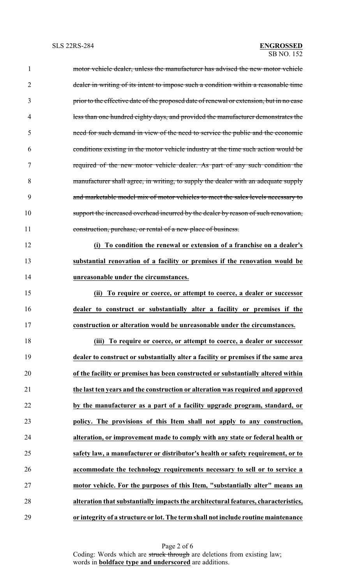| $\mathbf{1}$   | motor vehicle dealer, unless the manufacturer has advised the new motor vehicle          |
|----------------|------------------------------------------------------------------------------------------|
| $\overline{2}$ | dealer in writing of its intent to impose such a condition within a reasonable time      |
| 3              | prior to the effective date of the proposed date of renewal or extension, but in no case |
| 4              | less than one hundred eighty days, and provided the manufacturer demonstrates the        |
| 5              | need for such demand in view of the need to service the public and the economic          |
| 6              | conditions existing in the motor vehicle industry at the time such action would be       |
| 7              | required of the new motor vehicle dealer. As part of any such condition the              |
| 8              | manufacturer shall agree, in writing, to supply the dealer with an adequate supply       |
| 9              | and marketable model mix of motor vehicles to meet the sales levels necessary to         |
| 10             | support the increased overhead incurred by the dealer by reason of such renovation,      |
| 11             | construction, purchase, or rental of a new place of business.                            |
| 12             | (i) To condition the renewal or extension of a franchise on a dealer's                   |
| 13             | substantial renovation of a facility or premises if the renovation would be              |
| 14             | unreasonable under the circumstances.                                                    |
| 15             | To require or coerce, or attempt to coerce, a dealer or successor<br>(ii)                |
| 16             | dealer to construct or substantially alter a facility or premises if the                 |
| 17             | construction or alteration would be unreasonable under the circumstances.                |
| 18             | (iii) To require or coerce, or attempt to coerce, a dealer or successor                  |
| 19             | dealer to construct or substantially alter a facility or premises if the same area       |
| 20             | of the facility or premises has been constructed or substantially altered within         |
| 21             | the last ten years and the construction or alteration was required and approved          |
| 22             | by the manufacturer as a part of a facility upgrade program, standard, or                |
| 23             | policy. The provisions of this Item shall not apply to any construction,                 |
| 24             | alteration, or improvement made to comply with any state or federal health or            |
| 25             | safety law, a manufacturer or distributor's health or safety requirement, or to          |
| 26             | accommodate the technology requirements necessary to sell or to service a                |
| 27             | motor vehicle. For the purposes of this Item, "substantially alter" means an             |
| 28             | alteration that substantially impacts the architectural features, characteristics,       |
| 29             | or integrity of a structure or lot. The term shall not include routine maintenance       |

Page 2 of 6 Coding: Words which are struck through are deletions from existing law; words in **boldface type and underscored** are additions.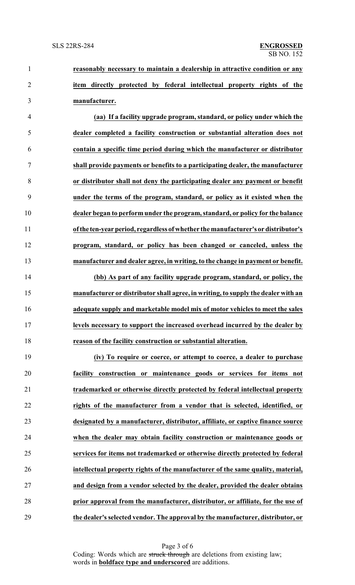**reasonably necessary to maintain a dealership in attractive condition or any item directly protected by federal intellectual property rights of the manufacturer.**

 **(aa) If a facility upgrade program, standard, or policy under which the dealer completed a facility construction or substantial alteration does not contain a specific time period during which the manufacturer or distributor shall provide payments or benefits to a participating dealer, the manufacturer or distributor shall not deny the participating dealer any payment or benefit under the terms of the program, standard, or policy as it existed when the dealer began to perform under the program, standard, or policy for the balance of the ten-yearperiod, regardless of whether the manufacturer's or distributor's program, standard, or policy has been changed or canceled, unless the manufacturer and dealer agree, in writing, to the change in payment or benefit.**

 **(bb) As part of any facility upgrade program, standard, or policy, the manufacturer or distributor shall agree, in writing, to supply the dealer with an adequate supply and marketable model mix of motor vehicles to meet the sales levels necessary to support the increased overhead incurred by the dealer by reason of the facility construction or substantial alteration.**

 **(iv) To require or coerce, or attempt to coerce, a dealer to purchase facility construction or maintenance goods or services for items not trademarked or otherwise directly protected by federal intellectual property rights of the manufacturer from a vendor that is selected, identified, or designated by a manufacturer, distributor, affiliate, or captive finance source when the dealer may obtain facility construction or maintenance goods or services for items not trademarked or otherwise directly protected by federal intellectual property rights of the manufacturer of the same quality, material, and design from a vendor selected by the dealer, provided the dealer obtains prior approval from the manufacturer, distributor, or affiliate, for the use of the dealer's selected vendor. The approval by the manufacturer, distributor, or**

> Page 3 of 6 Coding: Words which are struck through are deletions from existing law; words in **boldface type and underscored** are additions.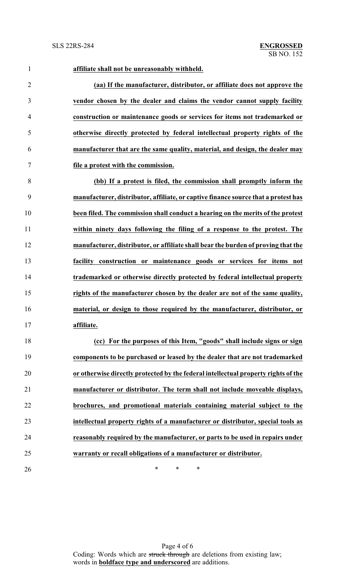**affiliate shall not be unreasonably withheld.**

 **(aa) If the manufacturer, distributor, or affiliate does not approve the vendor chosen by the dealer and claims the vendor cannot supply facility construction or maintenance goods or services for items not trademarked or otherwise directly protected by federal intellectual property rights of the manufacturer that are the same quality, material, and design, the dealer may file a protest with the commission.**

 **(bb) If a protest is filed, the commission shall promptly inform the manufacturer, distributor, affiliate, or captive finance source that a protest has been filed. The commission shall conduct a hearing on the merits of the protest within ninety days following the filing of a response to the protest. The manufacturer, distributor, or affiliate shall bear the burden of proving that the facility construction or maintenance goods or services for items not trademarked or otherwise directly protected by federal intellectual property rights of the manufacturer chosen by the dealer are not of the same quality, material, or design to those required by the manufacturer, distributor, or affiliate.**

 **(cc) For the purposes of this Item, "goods" shall include signs or sign components to be purchased or leased by the dealer that are not trademarked or otherwise directly protected by the federal intellectual property rights of the manufacturer or distributor. The term shall not include moveable displays, brochures, and promotional materials containing material subject to the intellectual property rights of a manufacturer or distributor, special tools as reasonably required by the manufacturer, or parts to be used in repairs under warranty or recall obligations of a manufacturer or distributor.**

 $*$  \* \* \*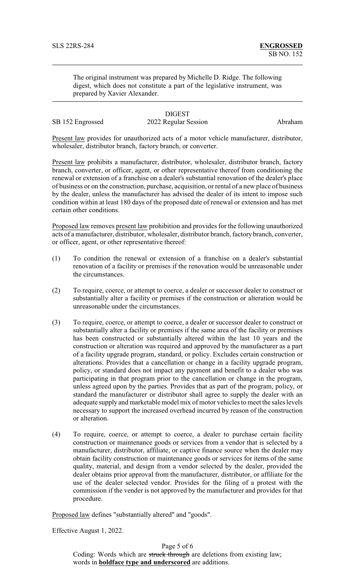The original instrument was prepared by Michelle D. Ridge. The following digest, which does not constitute a part of the legislative instrument, was prepared by Xavier Alexander.

SB 152 Engrossed 2022 Regular Session Abraham

# **DIGEST**

Present law provides for unauthorized acts of a motor vehicle manufacturer, distributor, wholesaler, distributor branch, factory branch, or converter.

Present law prohibits a manufacturer, distributor, wholesaler, distributor branch, factory branch, converter, or officer, agent, or other representative thereof from conditioning the renewal or extension of a franchise on a dealer's substantial renovation of the dealer's place of business or on the construction, purchase, acquisition, or rental of a new place of business by the dealer, unless the manufacturer has advised the dealer of its intent to impose such condition within at least 180 days of the proposed date of renewal or extension and has met certain other conditions.

Proposed law removes present law prohibition and provides for the following unauthorized acts of a manufacturer, distributor, wholesaler, distributor branch, factory branch, converter, or officer, agent, or other representative thereof:

- (1) To condition the renewal or extension of a franchise on a dealer's substantial renovation of a facility or premises if the renovation would be unreasonable under the circumstances.
- (2) To require, coerce, or attempt to coerce, a dealer or successor dealer to construct or substantially alter a facility or premises if the construction or alteration would be unreasonable under the circumstances.
- (3) To require, coerce, or attempt to coerce, a dealer or successor dealer to construct or substantially alter a facility or premises if the same area of the facility or premises has been constructed or substantially altered within the last 10 years and the construction or alteration was required and approved by the manufacturer as a part of a facility upgrade program, standard, or policy. Excludes certain construction or alterations. Provides that a cancellation or change in a facility upgrade program, policy, or standard does not impact any payment and benefit to a dealer who was participating in that program prior to the cancellation or change in the program, unless agreed upon by the parties. Provides that as part of the program, policy, or standard the manufacturer or distributor shall agree to supply the dealer with an adequate supply and marketable model mix of motor vehicles to meet the sales levels necessary to support the increased overhead incurred by reason of the construction or alteration.
- (4) To require, coerce, or attempt to coerce, a dealer to purchase certain facility construction or maintenance goods or services from a vendor that is selected by a manufacturer, distributor, affiliate, or captive finance source when the dealer may obtain facility construction or maintenance goods or services for items of the same quality, material, and design from a vendor selected by the dealer, provided the dealer obtains prior approval from the manufacturer, distributor, or affiliate for the use of the dealer selected vendor. Provides for the filing of a protest with the commission if the vender is not approved by the manufacturer and provides for that procedure.

Proposed law defines "substantially altered" and "goods".

Effective August 1, 2022.